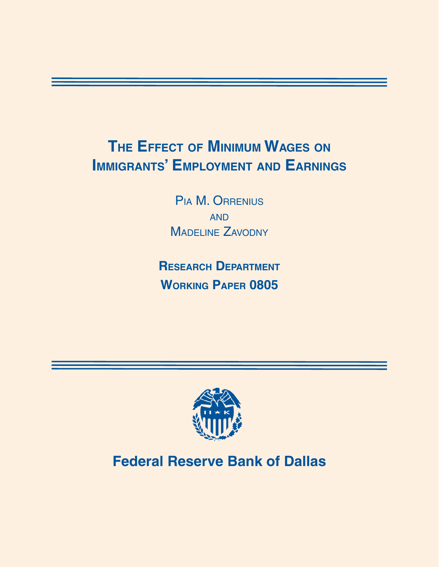# **The Effect of Minimum Wages on Immigrants' Employment and Earnings**

Pia M. Orrenius **AND** MADELINE ZAVODNY

**Research Department Working Paper 0805**



# **Federal Reserve Bank of Dallas**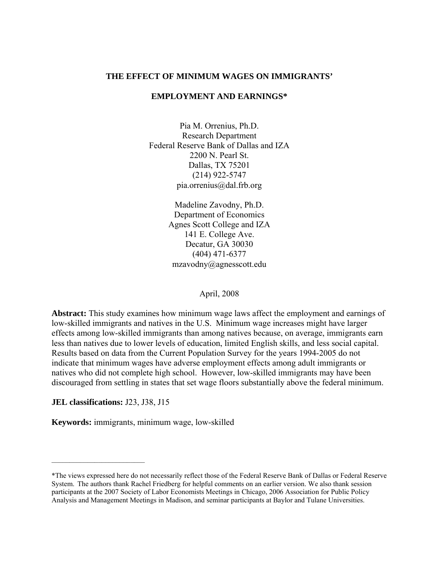## **THE EFFECT OF MINIMUM WAGES ON IMMIGRANTS'**

## **EMPLOYMENT AND EARNINGS\***

Pia M. Orrenius, Ph.D. Research Department Federal Reserve Bank of Dallas and IZA 2200 N. Pearl St. Dallas, TX 75201 (214) 922-5747 pia.orrenius@dal.frb.org

> Madeline Zavodny, Ph.D. Department of Economics Agnes Scott College and IZA 141 E. College Ave. Decatur, GA 30030 (404) 471-6377 mzavodny@agnesscott.edu

#### April, 2008

**Abstract:** This study examines how minimum wage laws affect the employment and earnings of low-skilled immigrants and natives in the U.S. Minimum wage increases might have larger effects among low-skilled immigrants than among natives because, on average, immigrants earn less than natives due to lower levels of education, limited English skills, and less social capital. Results based on data from the Current Population Survey for the years 1994-2005 do not indicate that minimum wages have adverse employment effects among adult immigrants or natives who did not complete high school. However, low-skilled immigrants may have been discouraged from settling in states that set wage floors substantially above the federal minimum.

**JEL classifications:** J23, J38, J15

**Keywords:** immigrants, minimum wage, low-skilled

<sup>\*</sup>The views expressed here do not necessarily reflect those of the Federal Reserve Bank of Dallas or Federal Reserve System. The authors thank Rachel Friedberg for helpful comments on an earlier version. We also thank session participants at the 2007 Society of Labor Economists Meetings in Chicago, 2006 Association for Public Policy Analysis and Management Meetings in Madison, and seminar participants at Baylor and Tulane Universities.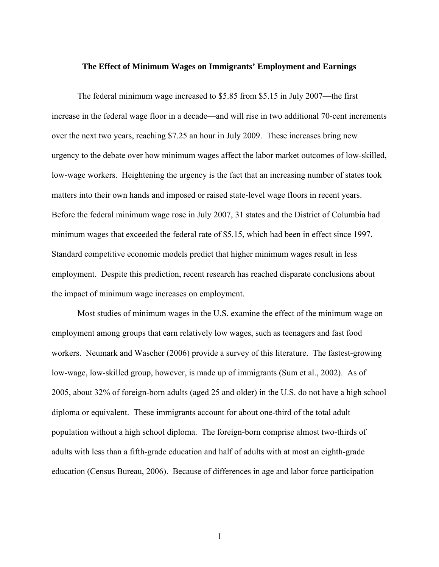#### **The Effect of Minimum Wages on Immigrants' Employment and Earnings**

The federal minimum wage increased to \$5.85 from \$5.15 in July 2007—the first increase in the federal wage floor in a decade—and will rise in two additional 70-cent increments over the next two years, reaching \$7.25 an hour in July 2009. These increases bring new urgency to the debate over how minimum wages affect the labor market outcomes of low-skilled, low-wage workers. Heightening the urgency is the fact that an increasing number of states took matters into their own hands and imposed or raised state-level wage floors in recent years. Before the federal minimum wage rose in July 2007, 31 states and the District of Columbia had minimum wages that exceeded the federal rate of \$5.15, which had been in effect since 1997. Standard competitive economic models predict that higher minimum wages result in less employment. Despite this prediction, recent research has reached disparate conclusions about the impact of minimum wage increases on employment.

Most studies of minimum wages in the U.S. examine the effect of the minimum wage on employment among groups that earn relatively low wages, such as teenagers and fast food workers. Neumark and Wascher (2006) provide a survey of this literature. The fastest-growing low-wage, low-skilled group, however, is made up of immigrants (Sum et al., 2002). As of 2005, about 32% of foreign-born adults (aged 25 and older) in the U.S. do not have a high school diploma or equivalent. These immigrants account for about one-third of the total adult population without a high school diploma. The foreign-born comprise almost two-thirds of adults with less than a fifth-grade education and half of adults with at most an eighth-grade education (Census Bureau, 2006). Because of differences in age and labor force participation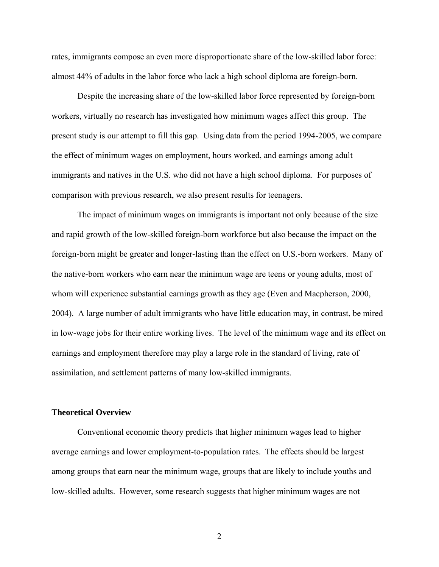rates, immigrants compose an even more disproportionate share of the low-skilled labor force: almost 44% of adults in the labor force who lack a high school diploma are foreign-born.

Despite the increasing share of the low-skilled labor force represented by foreign-born workers, virtually no research has investigated how minimum wages affect this group. The present study is our attempt to fill this gap. Using data from the period 1994-2005, we compare the effect of minimum wages on employment, hours worked, and earnings among adult immigrants and natives in the U.S. who did not have a high school diploma. For purposes of comparison with previous research, we also present results for teenagers.

The impact of minimum wages on immigrants is important not only because of the size and rapid growth of the low-skilled foreign-born workforce but also because the impact on the foreign-born might be greater and longer-lasting than the effect on U.S.-born workers. Many of the native-born workers who earn near the minimum wage are teens or young adults, most of whom will experience substantial earnings growth as they age (Even and Macpherson, 2000, 2004). A large number of adult immigrants who have little education may, in contrast, be mired in low-wage jobs for their entire working lives. The level of the minimum wage and its effect on earnings and employment therefore may play a large role in the standard of living, rate of assimilation, and settlement patterns of many low-skilled immigrants.

## **Theoretical Overview**

Conventional economic theory predicts that higher minimum wages lead to higher average earnings and lower employment-to-population rates. The effects should be largest among groups that earn near the minimum wage, groups that are likely to include youths and low-skilled adults. However, some research suggests that higher minimum wages are not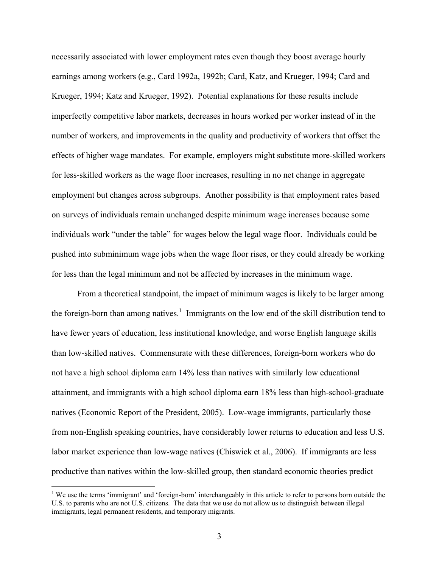necessarily associated with lower employment rates even though they boost average hourly earnings among workers (e.g., Card 1992a, 1992b; Card, Katz, and Krueger, 1994; Card and Krueger, 1994; Katz and Krueger, 1992). Potential explanations for these results include imperfectly competitive labor markets, decreases in hours worked per worker instead of in the number of workers, and improvements in the quality and productivity of workers that offset the effects of higher wage mandates. For example, employers might substitute more-skilled workers for less-skilled workers as the wage floor increases, resulting in no net change in aggregate employment but changes across subgroups. Another possibility is that employment rates based on surveys of individuals remain unchanged despite minimum wage increases because some individuals work "under the table" for wages below the legal wage floor. Individuals could be pushed into subminimum wage jobs when the wage floor rises, or they could already be working for less than the legal minimum and not be affected by increases in the minimum wage.

From a theoretical standpoint, the impact of minimum wages is likely to be larger among the foreign-born than among natives.<sup>1</sup> Immigrants on the low end of the skill distribution tend to have fewer years of education, less institutional knowledge, and worse English language skills than low-skilled natives. Commensurate with these differences, foreign-born workers who do not have a high school diploma earn 14% less than natives with similarly low educational attainment, and immigrants with a high school diploma earn 18% less than high-school-graduate natives (Economic Report of the President, 2005). Low-wage immigrants, particularly those from non-English speaking countries, have considerably lower returns to education and less U.S. labor market experience than low-wage natives (Chiswick et al., 2006). If immigrants are less productive than natives within the low-skilled group, then standard economic theories predict

<sup>&</sup>lt;sup>1</sup> We use the terms 'immigrant' and 'foreign-born' interchangeably in this article to refer to persons born outside the U.S. to parents who are not U.S. citizens. The data that we use do not allow us to distinguish between illegal immigrants, legal permanent residents, and temporary migrants.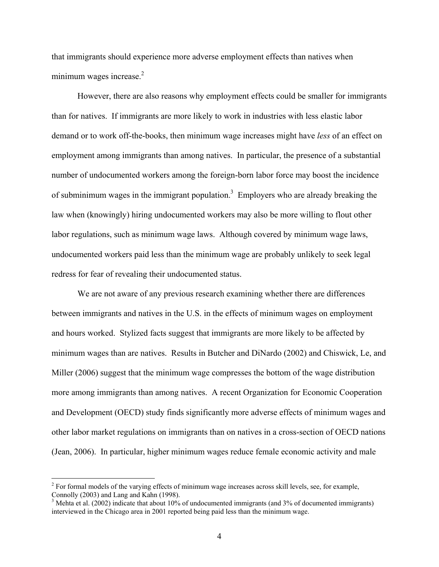that immigrants should experience more adverse employment effects than natives when minimum wages increase. $2$ 

However, there are also reasons why employment effects could be smaller for immigrants than for natives. If immigrants are more likely to work in industries with less elastic labor demand or to work off-the-books, then minimum wage increases might have *less* of an effect on employment among immigrants than among natives. In particular, the presence of a substantial number of undocumented workers among the foreign-born labor force may boost the incidence of subminimum wages in the immigrant population.<sup>3</sup> Employers who are already breaking the law when (knowingly) hiring undocumented workers may also be more willing to flout other labor regulations, such as minimum wage laws. Although covered by minimum wage laws, undocumented workers paid less than the minimum wage are probably unlikely to seek legal redress for fear of revealing their undocumented status.

 We are not aware of any previous research examining whether there are differences between immigrants and natives in the U.S. in the effects of minimum wages on employment and hours worked. Stylized facts suggest that immigrants are more likely to be affected by minimum wages than are natives. Results in Butcher and DiNardo (2002) and Chiswick, Le, and Miller (2006) suggest that the minimum wage compresses the bottom of the wage distribution more among immigrants than among natives. A recent Organization for Economic Cooperation and Development (OECD) study finds significantly more adverse effects of minimum wages and other labor market regulations on immigrants than on natives in a cross-section of OECD nations (Jean, 2006). In particular, higher minimum wages reduce female economic activity and male

 $2^{2}$  For formal models of the varying effects of minimum wage increases across skill levels, see, for example, Connolly (2003) and Lang and Kahn (1998).

 $3$  Mehta et al. (2002) indicate that about 10% of undocumented immigrants (and 3% of documented immigrants) interviewed in the Chicago area in 2001 reported being paid less than the minimum wage.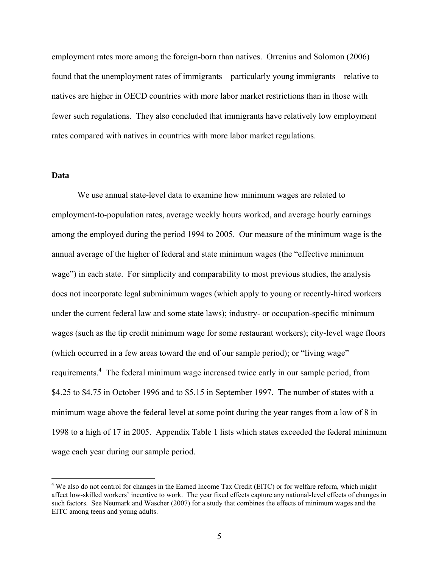employment rates more among the foreign-born than natives. Orrenius and Solomon (2006) found that the unemployment rates of immigrants—particularly young immigrants—relative to natives are higher in OECD countries with more labor market restrictions than in those with fewer such regulations. They also concluded that immigrants have relatively low employment rates compared with natives in countries with more labor market regulations.

## **Data**

<u>.</u>

We use annual state-level data to examine how minimum wages are related to employment-to-population rates, average weekly hours worked, and average hourly earnings among the employed during the period 1994 to 2005. Our measure of the minimum wage is the annual average of the higher of federal and state minimum wages (the "effective minimum wage") in each state. For simplicity and comparability to most previous studies, the analysis does not incorporate legal subminimum wages (which apply to young or recently-hired workers under the current federal law and some state laws); industry- or occupation-specific minimum wages (such as the tip credit minimum wage for some restaurant workers); city-level wage floors (which occurred in a few areas toward the end of our sample period); or "living wage" requirements.<sup>4</sup> The federal minimum wage increased twice early in our sample period, from \$4.25 to \$4.75 in October 1996 and to \$5.15 in September 1997. The number of states with a minimum wage above the federal level at some point during the year ranges from a low of 8 in 1998 to a high of 17 in 2005. Appendix Table 1 lists which states exceeded the federal minimum wage each year during our sample period.

<sup>&</sup>lt;sup>4</sup> We also do not control for changes in the Earned Income Tax Credit (EITC) or for welfare reform, which might affect low-skilled workers' incentive to work. The year fixed effects capture any national-level effects of changes in such factors. See Neumark and Wascher (2007) for a study that combines the effects of minimum wages and the EITC among teens and young adults.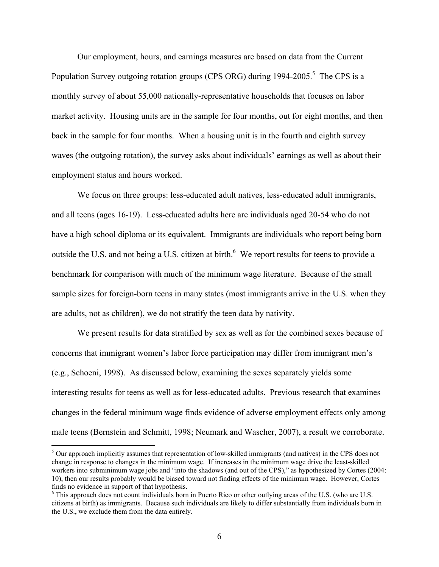Our employment, hours, and earnings measures are based on data from the Current Population Survey outgoing rotation groups (CPS ORG) during 1994-2005.<sup>5</sup> The CPS is a monthly survey of about 55,000 nationally-representative households that focuses on labor market activity. Housing units are in the sample for four months, out for eight months, and then back in the sample for four months. When a housing unit is in the fourth and eighth survey waves (the outgoing rotation), the survey asks about individuals' earnings as well as about their employment status and hours worked.

We focus on three groups: less-educated adult natives, less-educated adult immigrants, and all teens (ages 16-19). Less-educated adults here are individuals aged 20-54 who do not have a high school diploma or its equivalent. Immigrants are individuals who report being born outside the U.S. and not being a U.S. citizen at birth. $^6$  We report results for teens to provide a benchmark for comparison with much of the minimum wage literature. Because of the small sample sizes for foreign-born teens in many states (most immigrants arrive in the U.S. when they are adults, not as children), we do not stratify the teen data by nativity.

We present results for data stratified by sex as well as for the combined sexes because of concerns that immigrant women's labor force participation may differ from immigrant men's (e.g., Schoeni, 1998). As discussed below, examining the sexes separately yields some interesting results for teens as well as for less-educated adults. Previous research that examines changes in the federal minimum wage finds evidence of adverse employment effects only among male teens (Bernstein and Schmitt, 1998; Neumark and Wascher, 2007), a result we corroborate.

<sup>&</sup>lt;sup>5</sup> Our approach implicitly assumes that representation of low-skilled immigrants (and natives) in the CPS does not change in response to changes in the minimum wage. If increases in the minimum wage drive the least-skilled workers into subminimum wage jobs and "into the shadows (and out of the CPS)," as hypothesized by Cortes (2004: 10), then our results probably would be biased toward not finding effects of the minimum wage. However, Cortes finds no evidence in support of that hypothesis.

<sup>&</sup>lt;sup>6</sup> This approach does not count individuals born in Puerto Rico or other outlying areas of the U.S. (who are U.S. citizens at birth) as immigrants. Because such individuals are likely to differ substantially from individuals born in the U.S., we exclude them from the data entirely.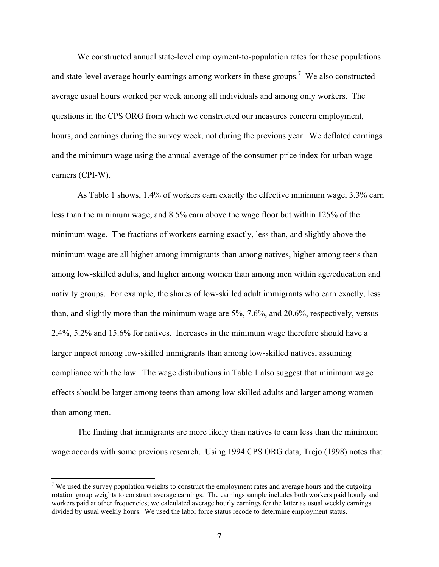We constructed annual state-level employment-to-population rates for these populations and state-level average hourly earnings among workers in these groups.<sup>7</sup> We also constructed average usual hours worked per week among all individuals and among only workers. The questions in the CPS ORG from which we constructed our measures concern employment, hours, and earnings during the survey week, not during the previous year. We deflated earnings and the minimum wage using the annual average of the consumer price index for urban wage earners (CPI-W).

 As Table 1 shows, 1.4% of workers earn exactly the effective minimum wage, 3.3% earn less than the minimum wage, and 8.5% earn above the wage floor but within 125% of the minimum wage. The fractions of workers earning exactly, less than, and slightly above the minimum wage are all higher among immigrants than among natives, higher among teens than among low-skilled adults, and higher among women than among men within age/education and nativity groups. For example, the shares of low-skilled adult immigrants who earn exactly, less than, and slightly more than the minimum wage are 5%, 7.6%, and 20.6%, respectively, versus 2.4%, 5.2% and 15.6% for natives. Increases in the minimum wage therefore should have a larger impact among low-skilled immigrants than among low-skilled natives, assuming compliance with the law. The wage distributions in Table 1 also suggest that minimum wage effects should be larger among teens than among low-skilled adults and larger among women than among men.

 The finding that immigrants are more likely than natives to earn less than the minimum wage accords with some previous research. Using 1994 CPS ORG data, Trejo (1998) notes that

<sup>&</sup>lt;sup>7</sup> We used the survey population weights to construct the employment rates and average hours and the outgoing rotation group weights to construct average earnings. The earnings sample includes both workers paid hourly and workers paid at other frequencies; we calculated average hourly earnings for the latter as usual weekly earnings divided by usual weekly hours. We used the labor force status recode to determine employment status.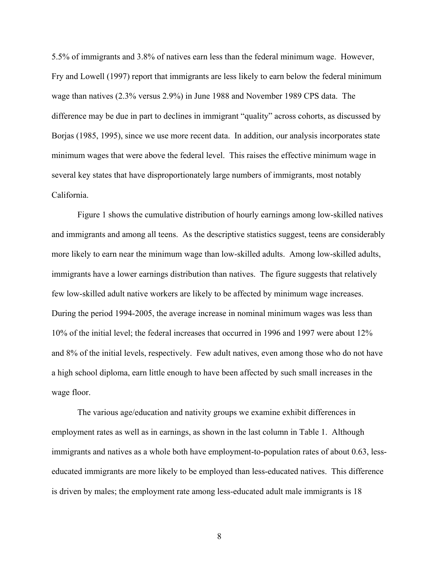5.5% of immigrants and 3.8% of natives earn less than the federal minimum wage. However, Fry and Lowell (1997) report that immigrants are less likely to earn below the federal minimum wage than natives (2.3% versus 2.9%) in June 1988 and November 1989 CPS data. The difference may be due in part to declines in immigrant "quality" across cohorts, as discussed by Borjas (1985, 1995), since we use more recent data. In addition, our analysis incorporates state minimum wages that were above the federal level. This raises the effective minimum wage in several key states that have disproportionately large numbers of immigrants, most notably California.

 Figure 1 shows the cumulative distribution of hourly earnings among low-skilled natives and immigrants and among all teens. As the descriptive statistics suggest, teens are considerably more likely to earn near the minimum wage than low-skilled adults. Among low-skilled adults, immigrants have a lower earnings distribution than natives. The figure suggests that relatively few low-skilled adult native workers are likely to be affected by minimum wage increases. During the period 1994-2005, the average increase in nominal minimum wages was less than 10% of the initial level; the federal increases that occurred in 1996 and 1997 were about 12% and 8% of the initial levels, respectively. Few adult natives, even among those who do not have a high school diploma, earn little enough to have been affected by such small increases in the wage floor.

 The various age/education and nativity groups we examine exhibit differences in employment rates as well as in earnings, as shown in the last column in Table 1. Although immigrants and natives as a whole both have employment-to-population rates of about 0.63, lesseducated immigrants are more likely to be employed than less-educated natives. This difference is driven by males; the employment rate among less-educated adult male immigrants is 18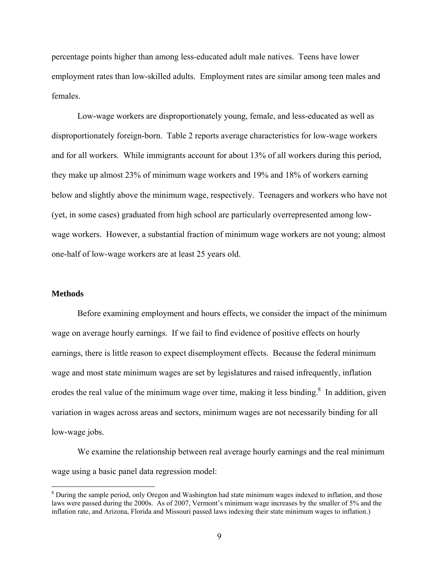percentage points higher than among less-educated adult male natives. Teens have lower employment rates than low-skilled adults. Employment rates are similar among teen males and females.

Low-wage workers are disproportionately young, female, and less-educated as well as disproportionately foreign-born. Table 2 reports average characteristics for low-wage workers and for all workers. While immigrants account for about 13% of all workers during this period, they make up almost 23% of minimum wage workers and 19% and 18% of workers earning below and slightly above the minimum wage, respectively. Teenagers and workers who have not (yet, in some cases) graduated from high school are particularly overrepresented among lowwage workers. However, a substantial fraction of minimum wage workers are not young; almost one-half of low-wage workers are at least 25 years old.

#### **Methods**

 $\overline{a}$ 

Before examining employment and hours effects, we consider the impact of the minimum wage on average hourly earnings. If we fail to find evidence of positive effects on hourly earnings, there is little reason to expect disemployment effects. Because the federal minimum wage and most state minimum wages are set by legislatures and raised infrequently, inflation erodes the real value of the minimum wage over time, making it less binding. $\frac{8}{3}$  In addition, given variation in wages across areas and sectors, minimum wages are not necessarily binding for all low-wage jobs.

We examine the relationship between real average hourly earnings and the real minimum wage using a basic panel data regression model:

<sup>&</sup>lt;sup>8</sup> During the sample period, only Oregon and Washington had state minimum wages indexed to inflation, and those laws were passed during the 2000s. As of 2007, Vermont's minimum wage increases by the smaller of 5% and the inflation rate, and Arizona, Florida and Missouri passed laws indexing their state minimum wages to inflation.)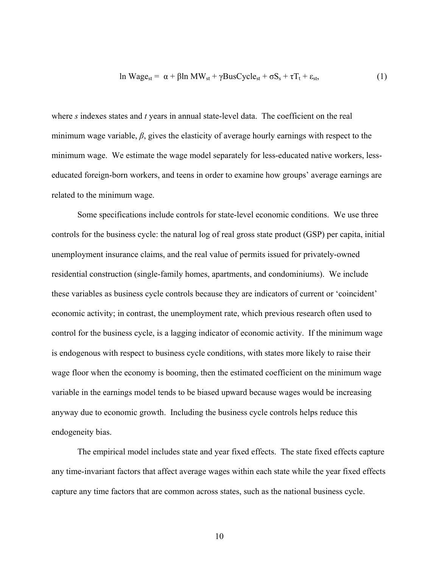$$
\ln \text{Wage}_{st} = \alpha + \beta \ln \text{MW}_{st} + \gamma \text{BusCycle}_{st} + \sigma S_s + \tau T_t + \varepsilon_{st},\tag{1}
$$

where *s* indexes states and *t* years in annual state-level data. The coefficient on the real minimum wage variable, *β*, gives the elasticity of average hourly earnings with respect to the minimum wage. We estimate the wage model separately for less-educated native workers, lesseducated foreign-born workers, and teens in order to examine how groups' average earnings are related to the minimum wage.

Some specifications include controls for state-level economic conditions. We use three controls for the business cycle: the natural log of real gross state product (GSP) per capita, initial unemployment insurance claims, and the real value of permits issued for privately-owned residential construction (single-family homes, apartments, and condominiums). We include these variables as business cycle controls because they are indicators of current or 'coincident' economic activity; in contrast, the unemployment rate, which previous research often used to control for the business cycle, is a lagging indicator of economic activity. If the minimum wage is endogenous with respect to business cycle conditions, with states more likely to raise their wage floor when the economy is booming, then the estimated coefficient on the minimum wage variable in the earnings model tends to be biased upward because wages would be increasing anyway due to economic growth. Including the business cycle controls helps reduce this endogeneity bias.

The empirical model includes state and year fixed effects. The state fixed effects capture any time-invariant factors that affect average wages within each state while the year fixed effects capture any time factors that are common across states, such as the national business cycle.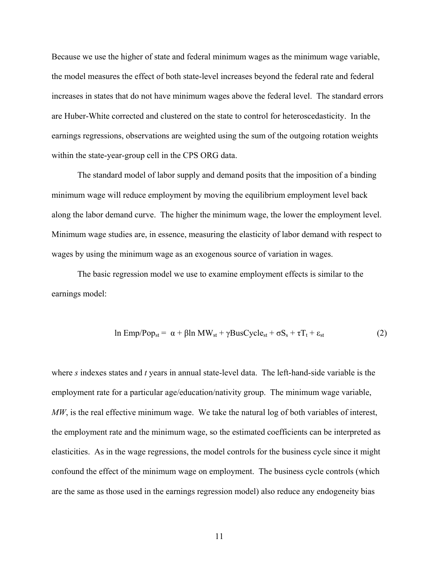Because we use the higher of state and federal minimum wages as the minimum wage variable, the model measures the effect of both state-level increases beyond the federal rate and federal increases in states that do not have minimum wages above the federal level. The standard errors are Huber-White corrected and clustered on the state to control for heteroscedasticity. In the earnings regressions, observations are weighted using the sum of the outgoing rotation weights within the state-year-group cell in the CPS ORG data.

The standard model of labor supply and demand posits that the imposition of a binding minimum wage will reduce employment by moving the equilibrium employment level back along the labor demand curve. The higher the minimum wage, the lower the employment level. Minimum wage studies are, in essence, measuring the elasticity of labor demand with respect to wages by using the minimum wage as an exogenous source of variation in wages.

The basic regression model we use to examine employment effects is similar to the earnings model:

$$
\ln \text{Emp}/\text{Pop}_{\text{st}} = \alpha + \beta \ln \text{MW}_{\text{st}} + \gamma \text{BusCycle}_{\text{st}} + \sigma S_{\text{s}} + \tau T_{\text{t}} + \varepsilon_{\text{st}} \tag{2}
$$

where *s* indexes states and *t* years in annual state-level data. The left-hand-side variable is the employment rate for a particular age/education/nativity group. The minimum wage variable, *MW*, is the real effective minimum wage. We take the natural log of both variables of interest, the employment rate and the minimum wage, so the estimated coefficients can be interpreted as elasticities. As in the wage regressions, the model controls for the business cycle since it might confound the effect of the minimum wage on employment. The business cycle controls (which are the same as those used in the earnings regression model) also reduce any endogeneity bias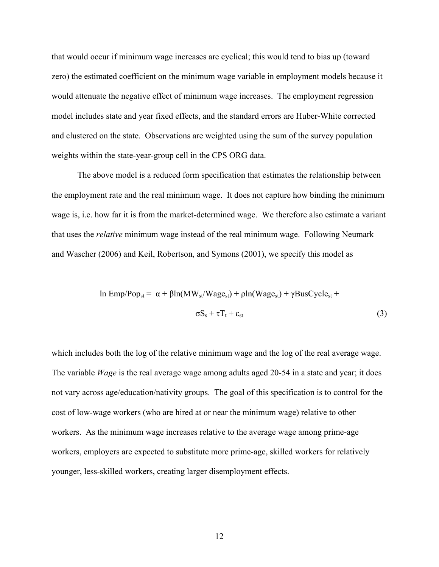that would occur if minimum wage increases are cyclical; this would tend to bias up (toward zero) the estimated coefficient on the minimum wage variable in employment models because it would attenuate the negative effect of minimum wage increases. The employment regression model includes state and year fixed effects, and the standard errors are Huber-White corrected and clustered on the state. Observations are weighted using the sum of the survey population weights within the state-year-group cell in the CPS ORG data.

 The above model is a reduced form specification that estimates the relationship between the employment rate and the real minimum wage. It does not capture how binding the minimum wage is, i.e. how far it is from the market-determined wage. We therefore also estimate a variant that uses the *relative* minimum wage instead of the real minimum wage. Following Neumark and Wascher (2006) and Keil, Robertson, and Symons (2001), we specify this model as

$$
\ln \text{Emp}/\text{Pop}_{\text{st}} = \alpha + \beta \ln(\text{MW}_{\text{st}}/\text{Wage}_{\text{st}}) + \rho \ln(\text{Wage}_{\text{st}}) + \gamma \text{BusCycle}_{\text{st}} + \sigma S_s + \tau T_t + \varepsilon_{\text{st}}
$$
\n(3)

which includes both the log of the relative minimum wage and the log of the real average wage. The variable *Wage* is the real average wage among adults aged 20-54 in a state and year; it does not vary across age/education/nativity groups. The goal of this specification is to control for the cost of low-wage workers (who are hired at or near the minimum wage) relative to other workers. As the minimum wage increases relative to the average wage among prime-age workers, employers are expected to substitute more prime-age, skilled workers for relatively younger, less-skilled workers, creating larger disemployment effects.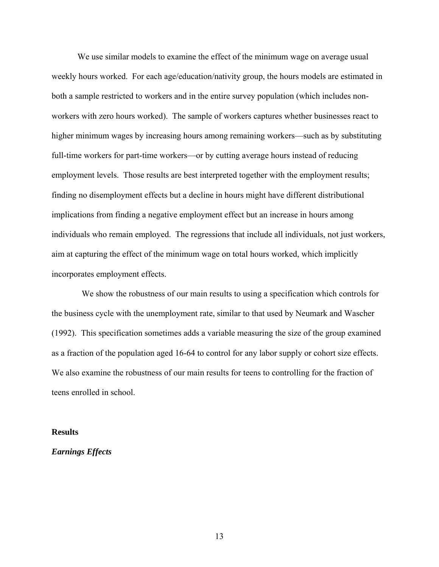We use similar models to examine the effect of the minimum wage on average usual weekly hours worked. For each age/education/nativity group, the hours models are estimated in both a sample restricted to workers and in the entire survey population (which includes nonworkers with zero hours worked). The sample of workers captures whether businesses react to higher minimum wages by increasing hours among remaining workers—such as by substituting full-time workers for part-time workers—or by cutting average hours instead of reducing employment levels. Those results are best interpreted together with the employment results; finding no disemployment effects but a decline in hours might have different distributional implications from finding a negative employment effect but an increase in hours among individuals who remain employed. The regressions that include all individuals, not just workers, aim at capturing the effect of the minimum wage on total hours worked, which implicitly incorporates employment effects.

 We show the robustness of our main results to using a specification which controls for the business cycle with the unemployment rate, similar to that used by Neumark and Wascher (1992). This specification sometimes adds a variable measuring the size of the group examined as a fraction of the population aged 16-64 to control for any labor supply or cohort size effects. We also examine the robustness of our main results for teens to controlling for the fraction of teens enrolled in school.

#### **Results**

## *Earnings Effects*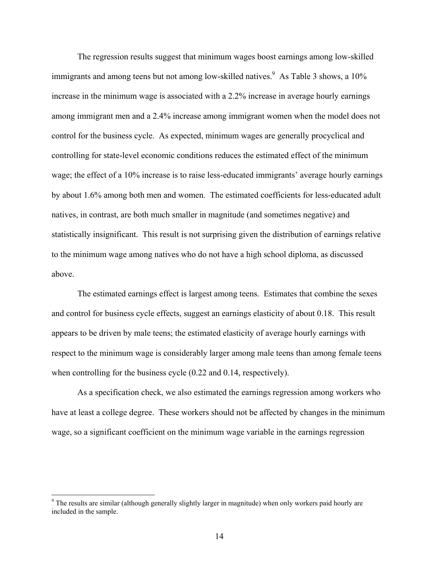The regression results suggest that minimum wages boost earnings among low-skilled immigrants and among teens but not among low-skilled natives.  $\frac{9}{5}$  As Table 3 shows, a 10% increase in the minimum wage is associated with a 2.2% increase in average hourly earnings among immigrant men and a 2.4% increase among immigrant women when the model does not control for the business cycle. As expected, minimum wages are generally procyclical and controlling for state-level economic conditions reduces the estimated effect of the minimum wage; the effect of a 10% increase is to raise less-educated immigrants' average hourly earnings by about 1.6% among both men and women. The estimated coefficients for less-educated adult natives, in contrast, are both much smaller in magnitude (and sometimes negative) and statistically insignificant. This result is not surprising given the distribution of earnings relative to the minimum wage among natives who do not have a high school diploma, as discussed above.

The estimated earnings effect is largest among teens. Estimates that combine the sexes and control for business cycle effects, suggest an earnings elasticity of about 0.18. This result appears to be driven by male teens; the estimated elasticity of average hourly earnings with respect to the minimum wage is considerably larger among male teens than among female teens when controlling for the business cycle  $(0.22 \text{ and } 0.14 \text{, respectively}).$ 

As a specification check, we also estimated the earnings regression among workers who have at least a college degree. These workers should not be affected by changes in the minimum wage, so a significant coefficient on the minimum wage variable in the earnings regression

<sup>&</sup>lt;sup>9</sup> The results are similar (although generally slightly larger in magnitude) when only workers paid hourly are included in the sample.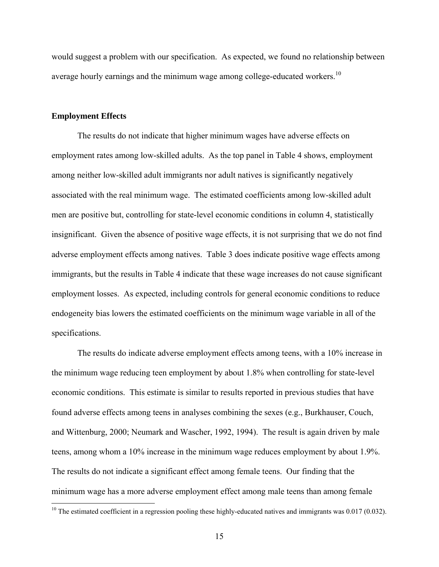would suggest a problem with our specification. As expected, we found no relationship between average hourly earnings and the minimum wage among college-educated workers.<sup>10</sup>

## **Employment Effects**

 $\overline{a}$ 

The results do not indicate that higher minimum wages have adverse effects on employment rates among low-skilled adults. As the top panel in Table 4 shows, employment among neither low-skilled adult immigrants nor adult natives is significantly negatively associated with the real minimum wage. The estimated coefficients among low-skilled adult men are positive but, controlling for state-level economic conditions in column 4, statistically insignificant. Given the absence of positive wage effects, it is not surprising that we do not find adverse employment effects among natives. Table 3 does indicate positive wage effects among immigrants, but the results in Table 4 indicate that these wage increases do not cause significant employment losses. As expected, including controls for general economic conditions to reduce endogeneity bias lowers the estimated coefficients on the minimum wage variable in all of the specifications.

The results do indicate adverse employment effects among teens, with a 10% increase in the minimum wage reducing teen employment by about 1.8% when controlling for state-level economic conditions. This estimate is similar to results reported in previous studies that have found adverse effects among teens in analyses combining the sexes (e.g., Burkhauser, Couch, and Wittenburg, 2000; Neumark and Wascher, 1992, 1994). The result is again driven by male teens, among whom a 10% increase in the minimum wage reduces employment by about 1.9%. The results do not indicate a significant effect among female teens. Our finding that the minimum wage has a more adverse employment effect among male teens than among female

<sup>&</sup>lt;sup>10</sup> The estimated coefficient in a regression pooling these highly-educated natives and immigrants was  $0.017$  (0.032).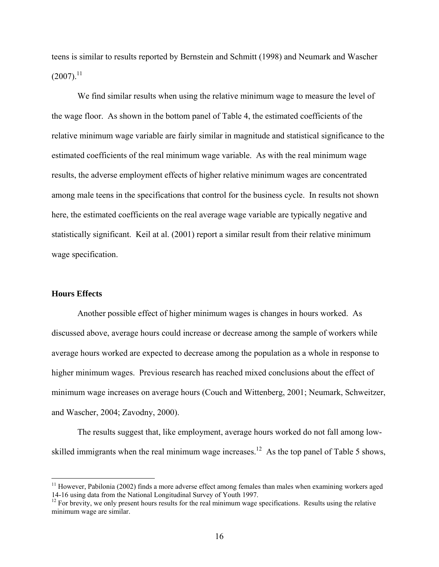teens is similar to results reported by Bernstein and Schmitt (1998) and Neumark and Wascher  $(2007).$ <sup>11</sup>

We find similar results when using the relative minimum wage to measure the level of the wage floor. As shown in the bottom panel of Table 4, the estimated coefficients of the relative minimum wage variable are fairly similar in magnitude and statistical significance to the estimated coefficients of the real minimum wage variable. As with the real minimum wage results, the adverse employment effects of higher relative minimum wages are concentrated among male teens in the specifications that control for the business cycle. In results not shown here, the estimated coefficients on the real average wage variable are typically negative and statistically significant. Keil at al. (2001) report a similar result from their relative minimum wage specification.

#### **Hours Effects**

 $\overline{a}$ 

 Another possible effect of higher minimum wages is changes in hours worked. As discussed above, average hours could increase or decrease among the sample of workers while average hours worked are expected to decrease among the population as a whole in response to higher minimum wages. Previous research has reached mixed conclusions about the effect of minimum wage increases on average hours (Couch and Wittenberg, 2001; Neumark, Schweitzer, and Wascher, 2004; Zavodny, 2000).

 The results suggest that, like employment, average hours worked do not fall among lowskilled immigrants when the real minimum wage increases.<sup>12</sup> As the top panel of Table 5 shows,

<sup>&</sup>lt;sup>11</sup> However, Pabilonia (2002) finds a more adverse effect among females than males when examining workers aged 14-16 using data from the National Longitudinal Survey of Youth 1997.

<sup>&</sup>lt;sup>12</sup> For brevity, we only present hours results for the real minimum wage specifications. Results using the relative minimum wage are similar.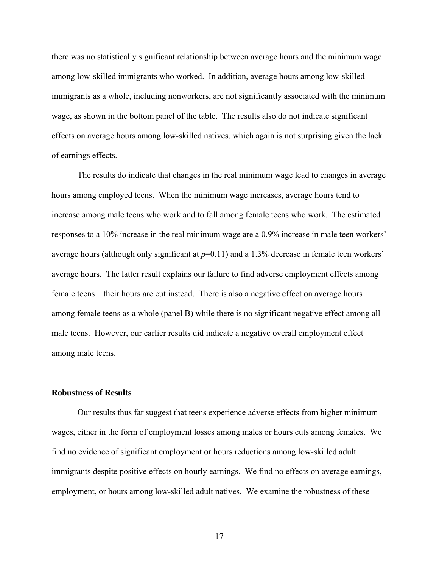there was no statistically significant relationship between average hours and the minimum wage among low-skilled immigrants who worked. In addition, average hours among low-skilled immigrants as a whole, including nonworkers, are not significantly associated with the minimum wage, as shown in the bottom panel of the table. The results also do not indicate significant effects on average hours among low-skilled natives, which again is not surprising given the lack of earnings effects.

The results do indicate that changes in the real minimum wage lead to changes in average hours among employed teens. When the minimum wage increases, average hours tend to increase among male teens who work and to fall among female teens who work. The estimated responses to a 10% increase in the real minimum wage are a 0.9% increase in male teen workers' average hours (although only significant at *p*=0.11) and a 1.3% decrease in female teen workers' average hours. The latter result explains our failure to find adverse employment effects among female teens—their hours are cut instead. There is also a negative effect on average hours among female teens as a whole (panel B) while there is no significant negative effect among all male teens. However, our earlier results did indicate a negative overall employment effect among male teens.

### **Robustness of Results**

 Our results thus far suggest that teens experience adverse effects from higher minimum wages, either in the form of employment losses among males or hours cuts among females. We find no evidence of significant employment or hours reductions among low-skilled adult immigrants despite positive effects on hourly earnings. We find no effects on average earnings, employment, or hours among low-skilled adult natives. We examine the robustness of these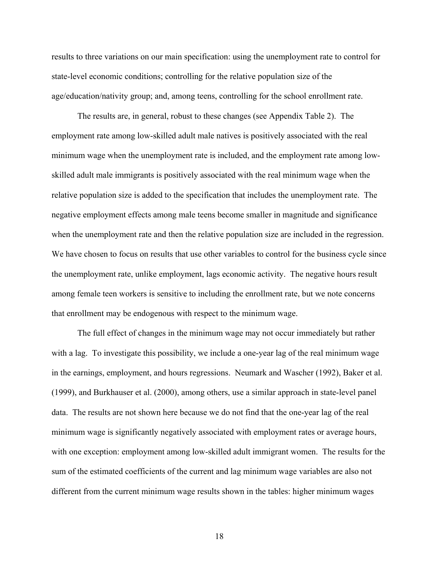results to three variations on our main specification: using the unemployment rate to control for state-level economic conditions; controlling for the relative population size of the age/education/nativity group; and, among teens, controlling for the school enrollment rate.

 The results are, in general, robust to these changes (see Appendix Table 2). The employment rate among low-skilled adult male natives is positively associated with the real minimum wage when the unemployment rate is included, and the employment rate among lowskilled adult male immigrants is positively associated with the real minimum wage when the relative population size is added to the specification that includes the unemployment rate. The negative employment effects among male teens become smaller in magnitude and significance when the unemployment rate and then the relative population size are included in the regression. We have chosen to focus on results that use other variables to control for the business cycle since the unemployment rate, unlike employment, lags economic activity. The negative hours result among female teen workers is sensitive to including the enrollment rate, but we note concerns that enrollment may be endogenous with respect to the minimum wage.

 The full effect of changes in the minimum wage may not occur immediately but rather with a lag. To investigate this possibility, we include a one-year lag of the real minimum wage in the earnings, employment, and hours regressions. Neumark and Wascher (1992), Baker et al. (1999), and Burkhauser et al. (2000), among others, use a similar approach in state-level panel data. The results are not shown here because we do not find that the one-year lag of the real minimum wage is significantly negatively associated with employment rates or average hours, with one exception: employment among low-skilled adult immigrant women. The results for the sum of the estimated coefficients of the current and lag minimum wage variables are also not different from the current minimum wage results shown in the tables: higher minimum wages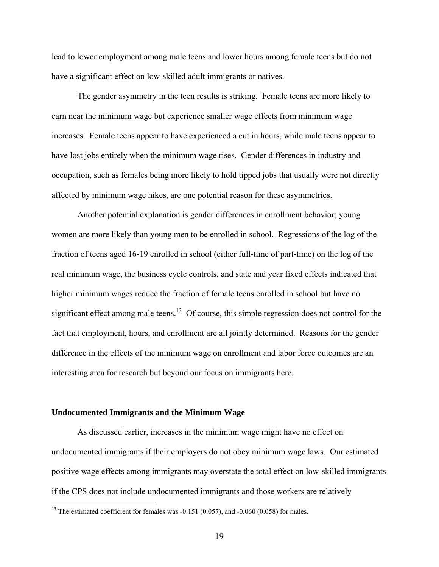lead to lower employment among male teens and lower hours among female teens but do not have a significant effect on low-skilled adult immigrants or natives.

 The gender asymmetry in the teen results is striking. Female teens are more likely to earn near the minimum wage but experience smaller wage effects from minimum wage increases. Female teens appear to have experienced a cut in hours, while male teens appear to have lost jobs entirely when the minimum wage rises. Gender differences in industry and occupation, such as females being more likely to hold tipped jobs that usually were not directly affected by minimum wage hikes, are one potential reason for these asymmetries.

 Another potential explanation is gender differences in enrollment behavior; young women are more likely than young men to be enrolled in school. Regressions of the log of the fraction of teens aged 16-19 enrolled in school (either full-time of part-time) on the log of the real minimum wage, the business cycle controls, and state and year fixed effects indicated that higher minimum wages reduce the fraction of female teens enrolled in school but have no significant effect among male teens.<sup>13</sup> Of course, this simple regression does not control for the fact that employment, hours, and enrollment are all jointly determined. Reasons for the gender difference in the effects of the minimum wage on enrollment and labor force outcomes are an interesting area for research but beyond our focus on immigrants here.

#### **Undocumented Immigrants and the Minimum Wage**

<u>.</u>

 As discussed earlier, increases in the minimum wage might have no effect on undocumented immigrants if their employers do not obey minimum wage laws. Our estimated positive wage effects among immigrants may overstate the total effect on low-skilled immigrants if the CPS does not include undocumented immigrants and those workers are relatively

<sup>&</sup>lt;sup>13</sup> The estimated coefficient for females was  $-0.151$  (0.057), and  $-0.060$  (0.058) for males.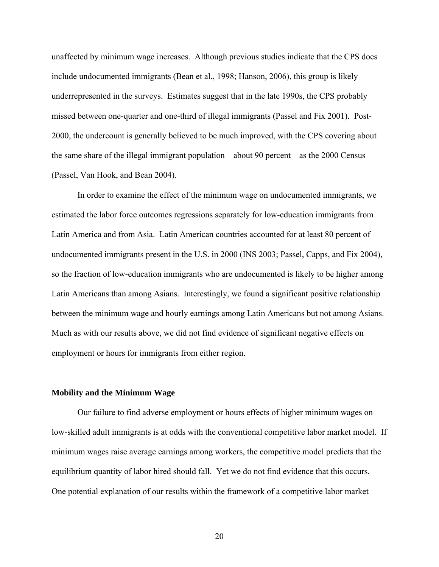unaffected by minimum wage increases. Although previous studies indicate that the CPS does include undocumented immigrants (Bean et al., 1998; Hanson, 2006), this group is likely underrepresented in the surveys. Estimates suggest that in the late 1990s, the CPS probably missed between one-quarter and one-third of illegal immigrants (Passel and Fix 2001). Post-2000, the undercount is generally believed to be much improved, with the CPS covering about the same share of the illegal immigrant population—about 90 percent—as the 2000 Census (Passel, Van Hook, and Bean 2004).

 In order to examine the effect of the minimum wage on undocumented immigrants, we estimated the labor force outcomes regressions separately for low-education immigrants from Latin America and from Asia. Latin American countries accounted for at least 80 percent of undocumented immigrants present in the U.S. in 2000 (INS 2003; Passel, Capps, and Fix 2004), so the fraction of low-education immigrants who are undocumented is likely to be higher among Latin Americans than among Asians. Interestingly, we found a significant positive relationship between the minimum wage and hourly earnings among Latin Americans but not among Asians. Much as with our results above, we did not find evidence of significant negative effects on employment or hours for immigrants from either region.

#### **Mobility and the Minimum Wage**

 Our failure to find adverse employment or hours effects of higher minimum wages on low-skilled adult immigrants is at odds with the conventional competitive labor market model. If minimum wages raise average earnings among workers, the competitive model predicts that the equilibrium quantity of labor hired should fall. Yet we do not find evidence that this occurs. One potential explanation of our results within the framework of a competitive labor market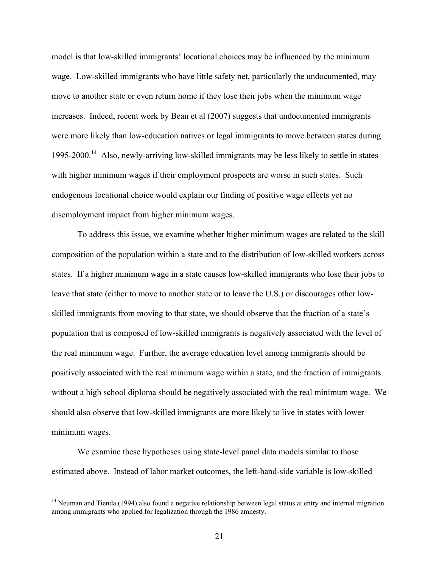model is that low-skilled immigrants' locational choices may be influenced by the minimum wage. Low-skilled immigrants who have little safety net, particularly the undocumented, may move to another state or even return home if they lose their jobs when the minimum wage increases. Indeed, recent work by Bean et al (2007) suggests that undocumented immigrants were more likely than low-education natives or legal immigrants to move between states during 1995-2000.<sup>14</sup> Also, newly-arriving low-skilled immigrants may be less likely to settle in states with higher minimum wages if their employment prospects are worse in such states. Such endogenous locational choice would explain our finding of positive wage effects yet no disemployment impact from higher minimum wages.

 To address this issue, we examine whether higher minimum wages are related to the skill composition of the population within a state and to the distribution of low-skilled workers across states. If a higher minimum wage in a state causes low-skilled immigrants who lose their jobs to leave that state (either to move to another state or to leave the U.S.) or discourages other lowskilled immigrants from moving to that state, we should observe that the fraction of a state's population that is composed of low-skilled immigrants is negatively associated with the level of the real minimum wage. Further, the average education level among immigrants should be positively associated with the real minimum wage within a state, and the fraction of immigrants without a high school diploma should be negatively associated with the real minimum wage. We should also observe that low-skilled immigrants are more likely to live in states with lower minimum wages.

We examine these hypotheses using state-level panel data models similar to those estimated above. Instead of labor market outcomes, the left-hand-side variable is low-skilled

<sup>&</sup>lt;sup>14</sup> Neuman and Tienda (1994) also found a negative relationship between legal status at entry and internal migration among immigrants who applied for legalization through the 1986 amnesty.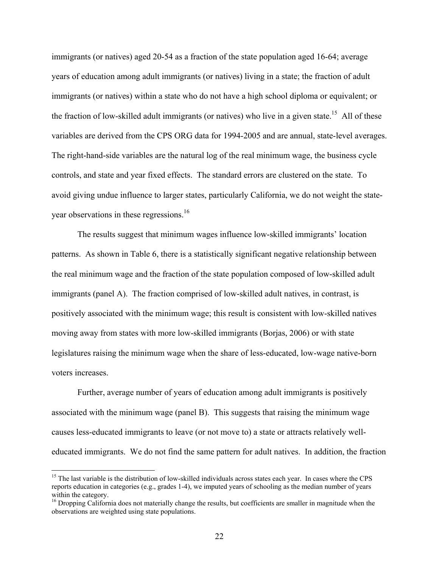immigrants (or natives) aged 20-54 as a fraction of the state population aged 16-64; average years of education among adult immigrants (or natives) living in a state; the fraction of adult immigrants (or natives) within a state who do not have a high school diploma or equivalent; or the fraction of low-skilled adult immigrants (or natives) who live in a given state.<sup>15</sup> All of these variables are derived from the CPS ORG data for 1994-2005 and are annual, state-level averages. The right-hand-side variables are the natural log of the real minimum wage, the business cycle controls, and state and year fixed effects. The standard errors are clustered on the state. To avoid giving undue influence to larger states, particularly California, we do not weight the stateyear observations in these regressions.<sup>16</sup>

The results suggest that minimum wages influence low-skilled immigrants' location patterns. As shown in Table 6, there is a statistically significant negative relationship between the real minimum wage and the fraction of the state population composed of low-skilled adult immigrants (panel A). The fraction comprised of low-skilled adult natives, in contrast, is positively associated with the minimum wage; this result is consistent with low-skilled natives moving away from states with more low-skilled immigrants (Borjas, 2006) or with state legislatures raising the minimum wage when the share of less-educated, low-wage native-born voters increases.

Further, average number of years of education among adult immigrants is positively associated with the minimum wage (panel B). This suggests that raising the minimum wage causes less-educated immigrants to leave (or not move to) a state or attracts relatively welleducated immigrants. We do not find the same pattern for adult natives. In addition, the fraction

<sup>&</sup>lt;sup>15</sup> The last variable is the distribution of low-skilled individuals across states each year. In cases where the CPS reports education in categories (e.g., grades 1-4), we imputed years of schooling as the median number of years within the category.

<sup>&</sup>lt;sup>16</sup> Dropping California does not materially change the results, but coefficients are smaller in magnitude when the observations are weighted using state populations.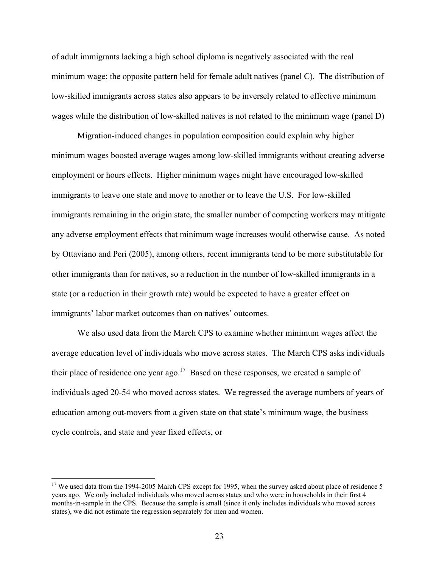of adult immigrants lacking a high school diploma is negatively associated with the real minimum wage; the opposite pattern held for female adult natives (panel C). The distribution of low-skilled immigrants across states also appears to be inversely related to effective minimum wages while the distribution of low-skilled natives is not related to the minimum wage (panel D)

Migration-induced changes in population composition could explain why higher minimum wages boosted average wages among low-skilled immigrants without creating adverse employment or hours effects. Higher minimum wages might have encouraged low-skilled immigrants to leave one state and move to another or to leave the U.S. For low-skilled immigrants remaining in the origin state, the smaller number of competing workers may mitigate any adverse employment effects that minimum wage increases would otherwise cause. As noted by Ottaviano and Peri (2005), among others, recent immigrants tend to be more substitutable for other immigrants than for natives, so a reduction in the number of low-skilled immigrants in a state (or a reduction in their growth rate) would be expected to have a greater effect on immigrants' labor market outcomes than on natives' outcomes.

We also used data from the March CPS to examine whether minimum wages affect the average education level of individuals who move across states. The March CPS asks individuals their place of residence one year ago.<sup>17</sup> Based on these responses, we created a sample of individuals aged 20-54 who moved across states. We regressed the average numbers of years of education among out-movers from a given state on that state's minimum wage, the business cycle controls, and state and year fixed effects, or

<sup>&</sup>lt;sup>17</sup> We used data from the 1994-2005 March CPS except for 1995, when the survey asked about place of residence 5 years ago. We only included individuals who moved across states and who were in households in their first 4 months-in-sample in the CPS. Because the sample is small (since it only includes individuals who moved across states), we did not estimate the regression separately for men and women.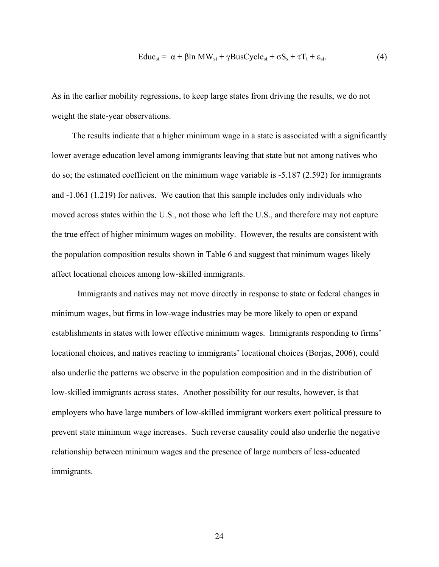$$
Educ_{st} = \alpha + \beta ln MW_{st} + \gamma BusCycle_{st} + \sigma S_s + \tau T_t + \varepsilon_{st}.
$$
 (4)

As in the earlier mobility regressions, to keep large states from driving the results, we do not weight the state-year observations.

 The results indicate that a higher minimum wage in a state is associated with a significantly lower average education level among immigrants leaving that state but not among natives who do so; the estimated coefficient on the minimum wage variable is -5.187 (2.592) for immigrants and -1.061 (1.219) for natives. We caution that this sample includes only individuals who moved across states within the U.S., not those who left the U.S., and therefore may not capture the true effect of higher minimum wages on mobility. However, the results are consistent with the population composition results shown in Table 6 and suggest that minimum wages likely affect locational choices among low-skilled immigrants.

Immigrants and natives may not move directly in response to state or federal changes in minimum wages, but firms in low-wage industries may be more likely to open or expand establishments in states with lower effective minimum wages. Immigrants responding to firms' locational choices, and natives reacting to immigrants' locational choices (Borjas, 2006), could also underlie the patterns we observe in the population composition and in the distribution of low-skilled immigrants across states. Another possibility for our results, however, is that employers who have large numbers of low-skilled immigrant workers exert political pressure to prevent state minimum wage increases. Such reverse causality could also underlie the negative relationship between minimum wages and the presence of large numbers of less-educated immigrants.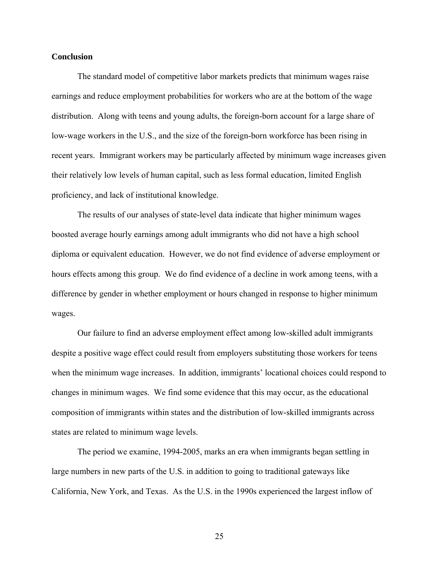## **Conclusion**

 The standard model of competitive labor markets predicts that minimum wages raise earnings and reduce employment probabilities for workers who are at the bottom of the wage distribution. Along with teens and young adults, the foreign-born account for a large share of low-wage workers in the U.S., and the size of the foreign-born workforce has been rising in recent years. Immigrant workers may be particularly affected by minimum wage increases given their relatively low levels of human capital, such as less formal education, limited English proficiency, and lack of institutional knowledge.

 The results of our analyses of state-level data indicate that higher minimum wages boosted average hourly earnings among adult immigrants who did not have a high school diploma or equivalent education. However, we do not find evidence of adverse employment or hours effects among this group. We do find evidence of a decline in work among teens, with a difference by gender in whether employment or hours changed in response to higher minimum wages.

Our failure to find an adverse employment effect among low-skilled adult immigrants despite a positive wage effect could result from employers substituting those workers for teens when the minimum wage increases. In addition, immigrants' locational choices could respond to changes in minimum wages. We find some evidence that this may occur, as the educational composition of immigrants within states and the distribution of low-skilled immigrants across states are related to minimum wage levels.

The period we examine, 1994-2005, marks an era when immigrants began settling in large numbers in new parts of the U.S. in addition to going to traditional gateways like California, New York, and Texas. As the U.S. in the 1990s experienced the largest inflow of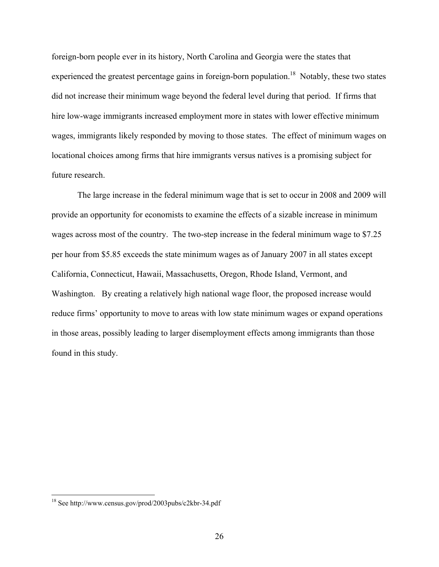foreign-born people ever in its history, North Carolina and Georgia were the states that experienced the greatest percentage gains in foreign-born population.<sup>18</sup> Notably, these two states did not increase their minimum wage beyond the federal level during that period. If firms that hire low-wage immigrants increased employment more in states with lower effective minimum wages, immigrants likely responded by moving to those states. The effect of minimum wages on locational choices among firms that hire immigrants versus natives is a promising subject for future research.

The large increase in the federal minimum wage that is set to occur in 2008 and 2009 will provide an opportunity for economists to examine the effects of a sizable increase in minimum wages across most of the country. The two-step increase in the federal minimum wage to \$7.25 per hour from \$5.85 exceeds the state minimum wages as of January 2007 in all states except California, Connecticut, Hawaii, Massachusetts, Oregon, Rhode Island, Vermont, and Washington. By creating a relatively high national wage floor, the proposed increase would reduce firms' opportunity to move to areas with low state minimum wages or expand operations in those areas, possibly leading to larger disemployment effects among immigrants than those found in this study.

<sup>18</sup> See http://www.census.gov/prod/2003pubs/c2kbr-34.pdf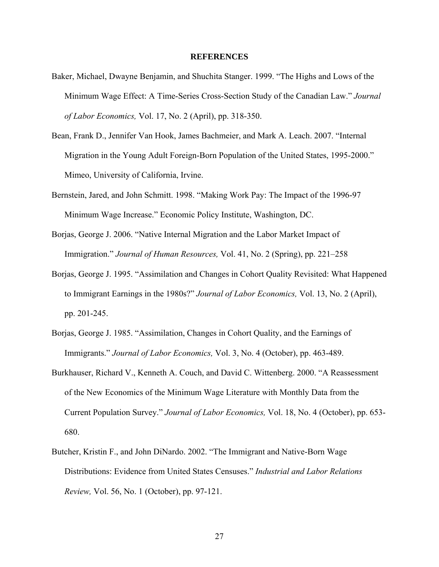#### **REFERENCES**

- Baker, Michael, Dwayne Benjamin, and Shuchita Stanger. 1999. "The Highs and Lows of the Minimum Wage Effect: A Time-Series Cross-Section Study of the Canadian Law." *Journal of Labor Economics,* Vol. 17, No. 2 (April), pp. 318-350.
- Bean, Frank D., Jennifer Van Hook, James Bachmeier, and Mark A. Leach. 2007. "Internal Migration in the Young Adult Foreign-Born Population of the United States, 1995-2000." Mimeo, University of California, Irvine.
- Bernstein, Jared, and John Schmitt. 1998. "Making Work Pay: The Impact of the 1996-97 Minimum Wage Increase." Economic Policy Institute, Washington, DC.
- Borjas, George J. 2006. "Native Internal Migration and the Labor Market Impact of Immigration." *Journal of Human Resources,* Vol. 41, No. 2 (Spring), pp. 221–258
- Borjas, George J. 1995. "Assimilation and Changes in Cohort Quality Revisited: What Happened to Immigrant Earnings in the 1980s?" *Journal of Labor Economics,* Vol. 13, No. 2 (April), pp. 201-245.
- Borjas, George J. 1985. "Assimilation, Changes in Cohort Quality, and the Earnings of Immigrants." *Journal of Labor Economics,* Vol. 3, No. 4 (October), pp. 463-489.
- Burkhauser, Richard V., Kenneth A. Couch, and David C. Wittenberg. 2000. "A Reassessment of the New Economics of the Minimum Wage Literature with Monthly Data from the Current Population Survey." *Journal of Labor Economics,* Vol. 18, No. 4 (October), pp. 653- 680.
- Butcher, Kristin F., and John DiNardo. 2002. "The Immigrant and Native-Born Wage Distributions: Evidence from United States Censuses." *Industrial and Labor Relations Review,* Vol. 56, No. 1 (October), pp. 97-121.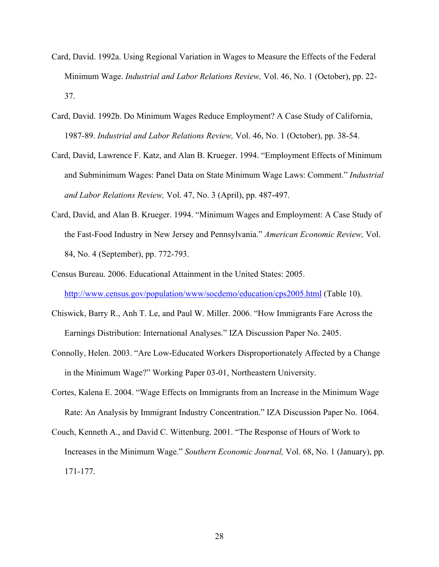- Card, David. 1992a. Using Regional Variation in Wages to Measure the Effects of the Federal Minimum Wage. *Industrial and Labor Relations Review,* Vol. 46, No. 1 (October), pp. 22- 37.
- Card, David. 1992b. Do Minimum Wages Reduce Employment? A Case Study of California, 1987-89. *Industrial and Labor Relations Review,* Vol. 46, No. 1 (October), pp. 38-54.
- Card, David, Lawrence F. Katz, and Alan B. Krueger. 1994. "Employment Effects of Minimum and Subminimum Wages: Panel Data on State Minimum Wage Laws: Comment." *Industrial and Labor Relations Review,* Vol. 47, No. 3 (April), pp. 487-497.
- Card, David, and Alan B. Krueger. 1994. "Minimum Wages and Employment: A Case Study of the Fast-Food Industry in New Jersey and Pennsylvania." *American Economic Review,* Vol. 84, No. 4 (September), pp. 772-793.
- Census Bureau. 2006. Educational Attainment in the United States: 2005. http://www.census.gov/population/www/socdemo/education/cps2005.html (Table 10).
- Chiswick, Barry R., Anh T. Le, and Paul W. Miller. 2006. "How Immigrants Fare Across the Earnings Distribution: International Analyses." IZA Discussion Paper No. 2405.
- Connolly, Helen. 2003. "Are Low-Educated Workers Disproportionately Affected by a Change in the Minimum Wage?" Working Paper 03-01, Northeastern University.
- Cortes, Kalena E. 2004. "Wage Effects on Immigrants from an Increase in the Minimum Wage Rate: An Analysis by Immigrant Industry Concentration." IZA Discussion Paper No. 1064.
- Couch, Kenneth A., and David C. Wittenburg. 2001. "The Response of Hours of Work to Increases in the Minimum Wage." *Southern Economic Journal,* Vol. 68, No. 1 (January), pp. 171-177.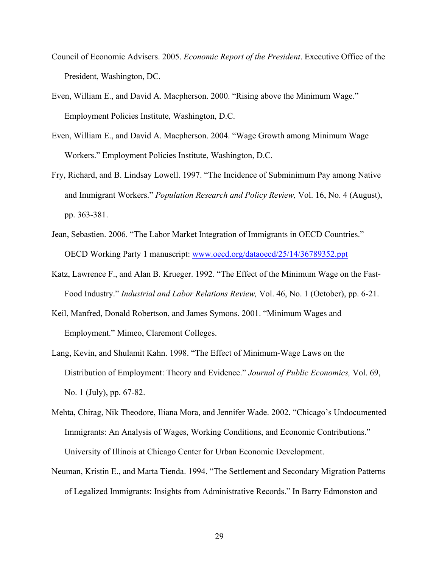- Council of Economic Advisers. 2005. *Economic Report of the President*. Executive Office of the President, Washington, DC.
- Even, William E., and David A. Macpherson. 2000. "Rising above the Minimum Wage." Employment Policies Institute, Washington, D.C.
- Even, William E., and David A. Macpherson. 2004. "Wage Growth among Minimum Wage Workers." Employment Policies Institute, Washington, D.C.
- Fry, Richard, and B. Lindsay Lowell. 1997. "The Incidence of Subminimum Pay among Native and Immigrant Workers." *Population Research and Policy Review,* Vol. 16, No. 4 (August), pp. 363-381.
- Jean, Sebastien. 2006. "The Labor Market Integration of Immigrants in OECD Countries." OECD Working Party 1 manuscript: www.oecd.org/dataoecd/25/14/36789352.ppt
- Katz, Lawrence F., and Alan B. Krueger. 1992. "The Effect of the Minimum Wage on the Fast-Food Industry." *Industrial and Labor Relations Review,* Vol. 46, No. 1 (October), pp. 6-21.
- Keil, Manfred, Donald Robertson, and James Symons. 2001. "Minimum Wages and Employment." Mimeo, Claremont Colleges.
- Lang, Kevin, and Shulamit Kahn. 1998. "The Effect of Minimum-Wage Laws on the Distribution of Employment: Theory and Evidence." *Journal of Public Economics,* Vol. 69, No. 1 (July), pp. 67-82.
- Mehta, Chirag, Nik Theodore, Iliana Mora, and Jennifer Wade. 2002. "Chicago's Undocumented Immigrants: An Analysis of Wages, Working Conditions, and Economic Contributions." University of Illinois at Chicago Center for Urban Economic Development.
- Neuman, Kristin E., and Marta Tienda. 1994. "The Settlement and Secondary Migration Patterns of Legalized Immigrants: Insights from Administrative Records." In Barry Edmonston and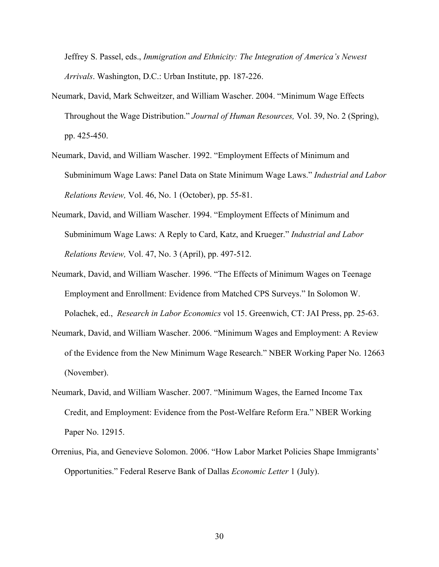Jeffrey S. Passel, eds., *Immigration and Ethnicity: The Integration of America's Newest Arrivals*. Washington, D.C.: Urban Institute, pp. 187-226.

- Neumark, David, Mark Schweitzer, and William Wascher. 2004. "Minimum Wage Effects Throughout the Wage Distribution." *Journal of Human Resources,* Vol. 39, No. 2 (Spring), pp. 425-450.
- Neumark, David, and William Wascher. 1992. "Employment Effects of Minimum and Subminimum Wage Laws: Panel Data on State Minimum Wage Laws." *Industrial and Labor Relations Review,* Vol. 46, No. 1 (October), pp. 55-81.
- Neumark, David, and William Wascher. 1994. "Employment Effects of Minimum and Subminimum Wage Laws: A Reply to Card, Katz, and Krueger." *Industrial and Labor Relations Review,* Vol. 47, No. 3 (April), pp. 497-512.
- Neumark, David, and William Wascher. 1996. "The Effects of Minimum Wages on Teenage Employment and Enrollment: Evidence from Matched CPS Surveys." In Solomon W. Polachek, ed., *Research in Labor Economics* vol 15. Greenwich, CT: JAI Press, pp. 25-63.
- Neumark, David, and William Wascher. 2006. "Minimum Wages and Employment: A Review of the Evidence from the New Minimum Wage Research." NBER Working Paper No. 12663 (November).
- Neumark, David, and William Wascher. 2007. "Minimum Wages, the Earned Income Tax Credit, and Employment: Evidence from the Post-Welfare Reform Era." NBER Working Paper No. 12915.
- Orrenius, Pia, and Genevieve Solomon. 2006. "How Labor Market Policies Shape Immigrants' Opportunities." Federal Reserve Bank of Dallas *Economic Letter* 1 (July).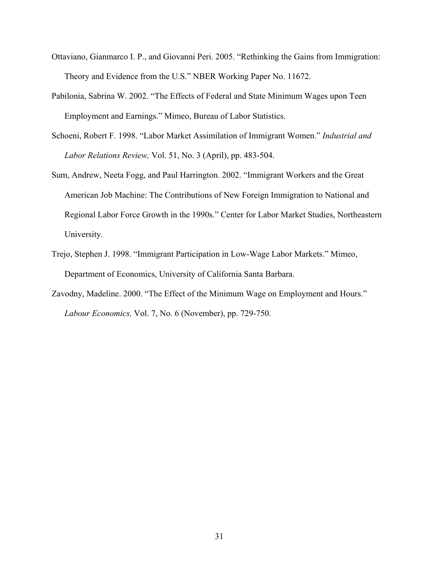- Ottaviano, Gianmarco I. P., and Giovanni Peri. 2005. "Rethinking the Gains from Immigration: Theory and Evidence from the U.S." NBER Working Paper No. 11672.
- Pabilonia, Sabrina W. 2002. "The Effects of Federal and State Minimum Wages upon Teen Employment and Earnings." Mimeo, Bureau of Labor Statistics.
- Schoeni, Robert F. 1998. "Labor Market Assimilation of Immigrant Women." *Industrial and Labor Relations Review,* Vol. 51, No. 3 (April), pp. 483-504.
- Sum, Andrew, Neeta Fogg, and Paul Harrington. 2002. "Immigrant Workers and the Great American Job Machine: The Contributions of New Foreign Immigration to National and Regional Labor Force Growth in the 1990s." Center for Labor Market Studies, Northeastern University.
- Trejo, Stephen J. 1998. "Immigrant Participation in Low-Wage Labor Markets." Mimeo, Department of Economics, University of California Santa Barbara.
- Zavodny, Madeline. 2000. "The Effect of the Minimum Wage on Employment and Hours." *Labour Economics,* Vol. 7, No. 6 (November), pp. 729-750.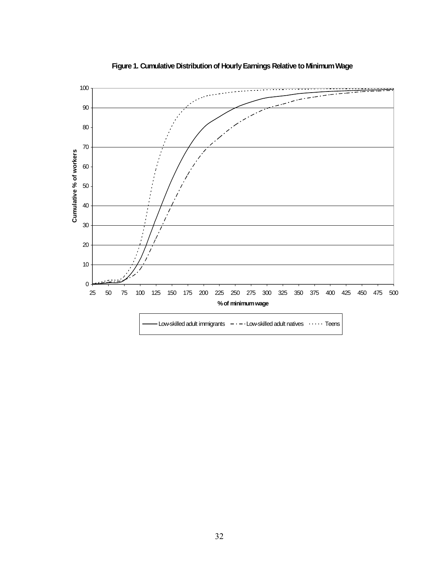

**Figure 1. Cumulative Distribution of Hourly Earnings Relative to Minimum Wage**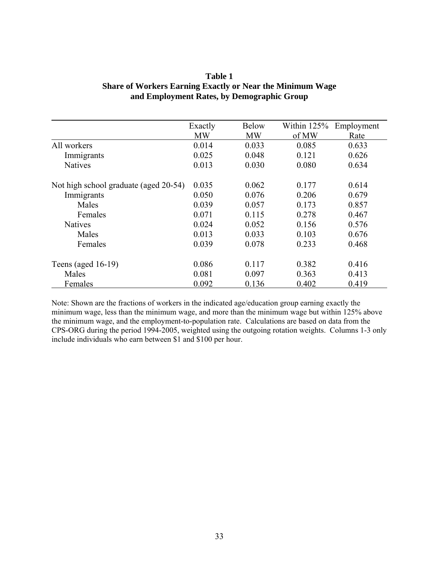|                                       | Exactly   | <b>Below</b> | Within $125%$ | Employment |
|---------------------------------------|-----------|--------------|---------------|------------|
|                                       | <b>MW</b> | <b>MW</b>    | of MW         | Rate       |
| All workers                           | 0.014     | 0.033        | 0.085         | 0.633      |
| Immigrants                            | 0.025     | 0.048        | 0.121         | 0.626      |
| <b>Natives</b>                        | 0.013     | 0.030        | 0.080         | 0.634      |
| Not high school graduate (aged 20-54) | 0.035     | 0.062        | 0.177         | 0.614      |
| Immigrants                            | 0.050     | 0.076        | 0.206         | 0.679      |
| Males                                 | 0.039     | 0.057        | 0.173         | 0.857      |
| Females                               | 0.071     | 0.115        | 0.278         | 0.467      |
| <b>Natives</b>                        | 0.024     | 0.052        | 0.156         | 0.576      |
| Males                                 | 0.013     | 0.033        | 0.103         | 0.676      |
| Females                               | 0.039     | 0.078        | 0.233         | 0.468      |
| Teens (aged $16-19$ )                 | 0.086     | 0.117        | 0.382         | 0.416      |
| Males                                 | 0.081     | 0.097        | 0.363         | 0.413      |
| Females                               | 0.092     | 0.136        | 0.402         | 0.419      |

# **Table 1 Share of Workers Earning Exactly or Near the Minimum Wage and Employment Rates, by Demographic Group**

Note: Shown are the fractions of workers in the indicated age/education group earning exactly the minimum wage, less than the minimum wage, and more than the minimum wage but within 125% above the minimum wage, and the employment-to-population rate. Calculations are based on data from the CPS-ORG during the period 1994-2005, weighted using the outgoing rotation weights. Columns 1-3 only include individuals who earn between \$1 and \$100 per hour.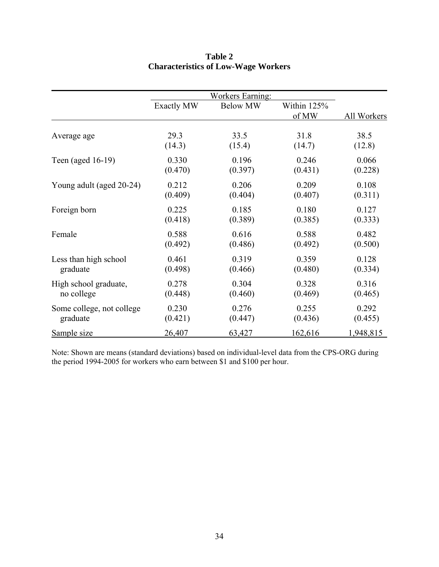|                           |                   | <b>Workers Earning:</b> |             |             |
|---------------------------|-------------------|-------------------------|-------------|-------------|
|                           | <b>Exactly MW</b> | <b>Below MW</b>         | Within 125% |             |
|                           |                   |                         | of MW       | All Workers |
| Average age               | 29.3              | 33.5                    | 31.8        | 38.5        |
|                           | (14.3)            | (15.4)                  | (14.7)      | (12.8)      |
| Teen (aged 16-19)         | 0.330             | 0.196                   | 0.246       | 0.066       |
|                           | (0.470)           | (0.397)                 | (0.431)     | (0.228)     |
| Young adult (aged 20-24)  | 0.212             | 0.206                   | 0.209       | 0.108       |
|                           | (0.409)           | (0.404)                 | (0.407)     | (0.311)     |
| Foreign born              | 0.225             | 0.185                   | 0.180       | 0.127       |
|                           | (0.418)           | (0.389)                 | (0.385)     | (0.333)     |
| Female                    | 0.588             | 0.616                   | 0.588       | 0.482       |
|                           | (0.492)           | (0.486)                 | (0.492)     | (0.500)     |
| Less than high school     | 0.461             | 0.319                   | 0.359       | 0.128       |
| graduate                  | (0.498)           | (0.466)                 | (0.480)     | (0.334)     |
| High school graduate,     | 0.278             | 0.304                   | 0.328       | 0.316       |
| no college                | (0.448)           | (0.460)                 | (0.469)     | (0.465)     |
| Some college, not college | 0.230             | 0.276                   | 0.255       | 0.292       |
| graduate                  | (0.421)           | (0.447)                 | (0.436)     | (0.455)     |
| Sample size               | 26,407            | 63,427                  | 162,616     | 1,948,815   |

# **Table 2 Characteristics of Low-Wage Workers**

Note: Shown are means (standard deviations) based on individual-level data from the CPS-ORG during the period 1994-2005 for workers who earn between \$1 and \$100 per hour.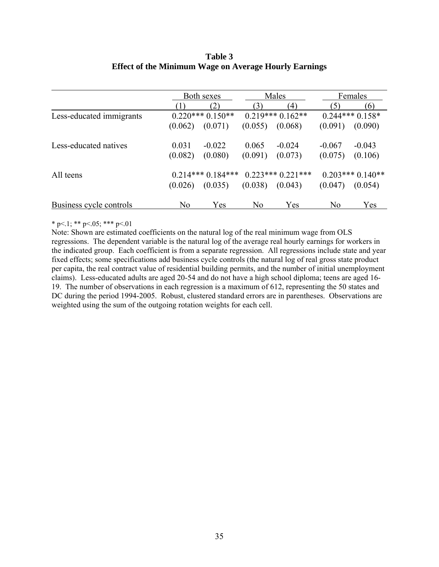## **Table 3 Effect of the Minimum Wage on Average Hourly Earnings**

|                          |                | Both sexes         |                | Males              |          | Females           |
|--------------------------|----------------|--------------------|----------------|--------------------|----------|-------------------|
|                          |                | (2)                | (3)            | (4)                | (5)      | (6)               |
| Less-educated immigrants |                | $0.220***0.150**$  |                | $0.219***0.162**$  |          | $0.244***0.158*$  |
|                          | (0.062)        | (0.071)            | (0.055)        | (0.068)            | (0.091)  | (0.090)           |
| Less-educated natives    | 0.031          | $-0.022$           | 0.065          | $-0.024$           | $-0.067$ | $-0.043$          |
|                          | (0.082)        | (0.080)            | (0.091)        | (0.073)            | (0.075)  | (0.106)           |
| All teens                |                | $0.214***0.184***$ |                | $0.223***0.221***$ |          | $0.203***0.140**$ |
|                          | (0.026)        | (0.035)            | (0.038)        | (0.043)            | (0.047)  | (0.054)           |
| Business cycle controls  | N <sub>0</sub> | Yes                | N <sub>0</sub> | Yes                | No       | Yes               |

## \* p<.1; \*\* p<.05; \*\*\* p<.01

Note: Shown are estimated coefficients on the natural log of the real minimum wage from OLS regressions. The dependent variable is the natural log of the average real hourly earnings for workers in the indicated group. Each coefficient is from a separate regression. All regressions include state and year fixed effects; some specifications add business cycle controls (the natural log of real gross state product per capita, the real contract value of residential building permits, and the number of initial unemployment claims). Less-educated adults are aged 20-54 and do not have a high school diploma; teens are aged 16- 19. The number of observations in each regression is a maximum of 612, representing the 50 states and DC during the period 1994-2005. Robust, clustered standard errors are in parentheses. Observations are weighted using the sum of the outgoing rotation weights for each cell.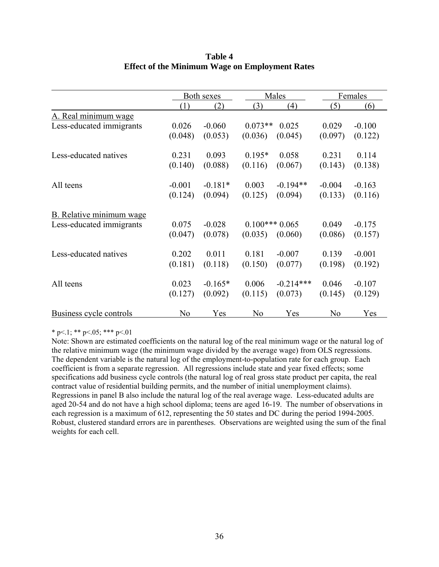|                                 |          | <b>Both sexes</b> |           | Males            | Females  |          |
|---------------------------------|----------|-------------------|-----------|------------------|----------|----------|
|                                 | (1)      | (2)               | (3)       | $\left(4\right)$ | (5)      | (6)      |
| A. Real minimum wage            |          |                   |           |                  |          |          |
| Less-educated immigrants        | 0.026    | $-0.060$          | $0.073**$ | 0.025            | 0.029    | $-0.100$ |
|                                 | (0.048)  | (0.053)           | (0.036)   | (0.045)          | (0.097)  | (0.122)  |
| Less-educated natives           | 0.231    | 0.093             | $0.195*$  | 0.058            | 0.231    | 0.114    |
|                                 | (0.140)  | (0.088)           | (0.116)   | (0.067)          | (0.143)  | (0.138)  |
| All teens                       | $-0.001$ | $-0.181*$         | 0.003     | $-0.194**$       | $-0.004$ | $-0.163$ |
|                                 | (0.124)  | (0.094)           | (0.125)   | (0.094)          | (0.133)  | (0.116)  |
| <b>B.</b> Relative minimum wage |          |                   |           |                  |          |          |
| Less-educated immigrants        | 0.075    | $-0.028$          |           | $0.100***0.065$  |          | $-0.175$ |
|                                 | (0.047)  | (0.078)           | (0.035)   | (0.060)          | (0.086)  | (0.157)  |
| Less-educated natives           | 0.202    | 0.011             | 0.181     | $-0.007$         | 0.139    | $-0.001$ |
|                                 | (0.181)  | (0.118)           | (0.150)   | (0.077)          | (0.198)  | (0.192)  |
| All teens                       | 0.023    | $-0.165*$         | 0.006     | $-0.214***$      | 0.046    | $-0.107$ |
|                                 | (0.127)  | (0.092)           | (0.115)   | (0.073)          | (0.145)  | (0.129)  |
| <b>Business cycle controls</b>  | No       | Yes               | No        | Yes              | No       | Yes      |

# **Table 4 Effect of the Minimum Wage on Employment Rates**

\* p $\leq$ .1; \*\* p $\leq$ .05; \*\*\* p $\leq$ .01

Note: Shown are estimated coefficients on the natural log of the real minimum wage or the natural log of the relative minimum wage (the minimum wage divided by the average wage) from OLS regressions. The dependent variable is the natural log of the employment-to-population rate for each group. Each coefficient is from a separate regression. All regressions include state and year fixed effects; some specifications add business cycle controls (the natural log of real gross state product per capita, the real contract value of residential building permits, and the number of initial unemployment claims). Regressions in panel B also include the natural log of the real average wage. Less-educated adults are aged 20-54 and do not have a high school diploma; teens are aged 16-19. The number of observations in each regression is a maximum of 612, representing the 50 states and DC during the period 1994-2005. Robust, clustered standard errors are in parentheses. Observations are weighted using the sum of the final weights for each cell.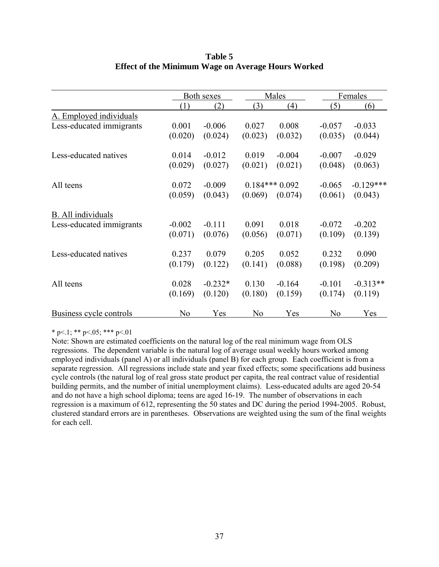|                          |                | Both sexes |                 | Males    |          | Females     |
|--------------------------|----------------|------------|-----------------|----------|----------|-------------|
|                          | (1)            | (2)        | (3)             | (4)      | (5)      | (6)         |
| A. Employed individuals  |                |            |                 |          |          |             |
| Less-educated immigrants | 0.001          | $-0.006$   | 0.027           | 0.008    | $-0.057$ | $-0.033$    |
|                          | (0.020)        | (0.024)    | (0.023)         | (0.032)  | (0.035)  | (0.044)     |
| Less-educated natives    | 0.014          | $-0.012$   | 0.019           | $-0.004$ | $-0.007$ | $-0.029$    |
|                          | (0.029)        | (0.027)    | (0.021)         | (0.021)  | (0.048)  | (0.063)     |
| All teens                | 0.072          | $-0.009$   | $0.184***0.092$ |          | $-0.065$ | $-0.129***$ |
|                          | (0.059)        | (0.043)    | (0.069)         | (0.074)  | (0.061)  | (0.043)     |
| B. All individuals       |                |            |                 |          |          |             |
| Less-educated immigrants | $-0.002$       | $-0.111$   | 0.091           | 0.018    | $-0.072$ | $-0.202$    |
|                          | (0.071)        | (0.076)    | (0.056)         | (0.071)  | (0.109)  | (0.139)     |
| Less-educated natives    | 0.237          | 0.079      | 0.205           | 0.052    | 0.232    | 0.090       |
|                          | (0.179)        | (0.122)    | (0.141)         | (0.088)  | (0.198)  | (0.209)     |
| All teens                | 0.028          | $-0.232*$  | 0.130           | $-0.164$ | $-0.101$ | $-0.313**$  |
|                          | (0.169)        | (0.120)    | (0.180)         | (0.159)  | (0.174)  | (0.119)     |
| Business cycle controls  | N <sub>0</sub> | Yes        | No              | Yes      | No       | Yes         |

# **Table 5 Effect of the Minimum Wage on Average Hours Worked**

\* p<.1; \*\* p<.05; \*\*\* p<.01

Note: Shown are estimated coefficients on the natural log of the real minimum wage from OLS regressions. The dependent variable is the natural log of average usual weekly hours worked among employed individuals (panel A) or all individuals (panel B) for each group. Each coefficient is from a separate regression. All regressions include state and year fixed effects; some specifications add business cycle controls (the natural log of real gross state product per capita, the real contract value of residential building permits, and the number of initial unemployment claims). Less-educated adults are aged 20-54 and do not have a high school diploma; teens are aged 16-19. The number of observations in each regression is a maximum of 612, representing the 50 states and DC during the period 1994-2005. Robust, clustered standard errors are in parentheses. Observations are weighted using the sum of the final weights for each cell.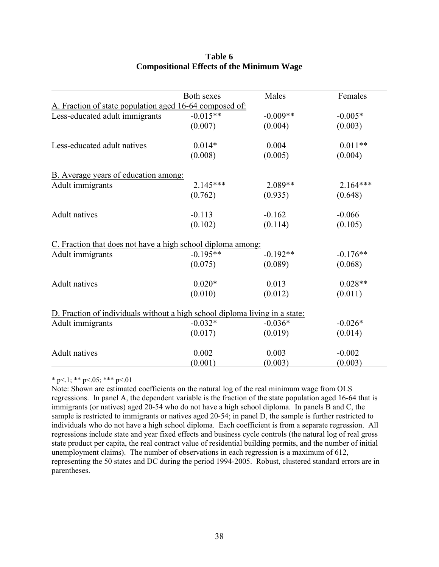|                                                                             | <b>Both sexes</b> | Males      | Females    |
|-----------------------------------------------------------------------------|-------------------|------------|------------|
| A. Fraction of state population aged 16-64 composed of:                     |                   |            |            |
| Less-educated adult immigrants                                              | $-0.015**$        | $-0.009**$ | $-0.005*$  |
|                                                                             | (0.007)           | (0.004)    | (0.003)    |
| Less-educated adult natives                                                 | $0.014*$          | 0.004      | $0.011**$  |
|                                                                             | (0.008)           | (0.005)    | (0.004)    |
| <b>B.</b> Average years of education among:                                 |                   |            |            |
| Adult immigrants                                                            | 2.145***          | 2.089**    | $2.164***$ |
|                                                                             | (0.762)           | (0.935)    | (0.648)    |
| <b>Adult</b> natives                                                        | $-0.113$          | $-0.162$   | $-0.066$   |
|                                                                             | (0.102)           | (0.114)    | (0.105)    |
| C. Fraction that does not have a high school diploma among:                 |                   |            |            |
| Adult immigrants                                                            | $-0.195**$        | $-0.192**$ | $-0.176**$ |
|                                                                             | (0.075)           | (0.089)    | (0.068)    |
| <b>Adult</b> natives                                                        | $0.020*$          | 0.013      | $0.028**$  |
|                                                                             | (0.010)           | (0.012)    | (0.011)    |
| D. Fraction of individuals without a high school diploma living in a state: |                   |            |            |
| Adult immigrants                                                            | $-0.032*$         | $-0.036*$  | $-0.026*$  |
|                                                                             | (0.017)           | (0.019)    | (0.014)    |
| <b>Adult</b> natives                                                        | 0.002             | 0.003      | $-0.002$   |
|                                                                             | (0.001)           | (0.003)    | (0.003)    |

# **Table 6 Compositional Effects of the Minimum Wage**

\* p $\leq$ .1; \*\* p $\leq$ .05; \*\*\* p $\leq$ .01

Note: Shown are estimated coefficients on the natural log of the real minimum wage from OLS regressions. In panel A, the dependent variable is the fraction of the state population aged 16-64 that is immigrants (or natives) aged 20-54 who do not have a high school diploma. In panels B and C, the sample is restricted to immigrants or natives aged 20-54; in panel D, the sample is further restricted to individuals who do not have a high school diploma. Each coefficient is from a separate regression. All regressions include state and year fixed effects and business cycle controls (the natural log of real gross state product per capita, the real contract value of residential building permits, and the number of initial unemployment claims). The number of observations in each regression is a maximum of 612, representing the 50 states and DC during the period 1994-2005. Robust, clustered standard errors are in parentheses.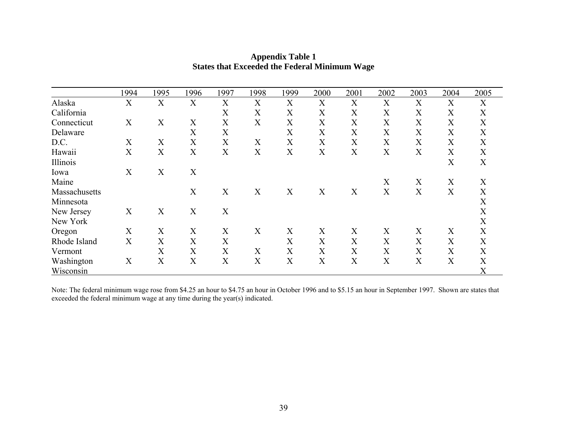|               | 1994             | 1995             | 1996 | 1997        | 1998                      | 1999 | 2000             | 2001                      | 2002                      | 2003 | 2004 | 2005             |
|---------------|------------------|------------------|------|-------------|---------------------------|------|------------------|---------------------------|---------------------------|------|------|------------------|
| Alaska        | X                | X                | X    | X           | X                         | X    | X                | $\boldsymbol{X}$          | X                         | X    | X    | X                |
| California    |                  |                  |      | X           | X                         | X    | X                | $\boldsymbol{X}$          | X                         | X    | X    | X                |
| Connecticut   | $\overline{X}$   | X                | X    | X           | X                         | X    | X                | $\boldsymbol{X}$          | X                         | X    | X    | X                |
| Delaware      |                  |                  | X    | $\mathbf X$ |                           | X    | $\boldsymbol{X}$ | X                         | X                         | X    | X    | X                |
| D.C.          | X                | $\boldsymbol{X}$ | X    | X           | X                         | X    | X                | X                         | X                         | X    | X    | X                |
| Hawaii        | X                | X                | X    | X           | X                         | X    | X                | $\boldsymbol{X}$          | X                         | X    | X    | X                |
| Illinois      |                  |                  |      |             |                           |      |                  |                           |                           |      | X    | X                |
| Iowa          | X                | X                | X    |             |                           |      |                  |                           |                           |      |      |                  |
| Maine         |                  |                  |      |             |                           |      |                  |                           | X                         | X    | X    | X                |
| Massachusetts |                  |                  | X    | X           | X                         | X    | X                | X                         | X                         | X    | X    | X                |
| Minnesota     |                  |                  |      |             |                           |      |                  |                           |                           |      |      | $\boldsymbol{X}$ |
| New Jersey    | X                | $\boldsymbol{X}$ | X    | X           |                           |      |                  |                           |                           |      |      | X                |
| New York      |                  |                  |      |             |                           |      |                  |                           |                           |      |      | X                |
| Oregon        | X                | X                | X    | X           | X                         | X    | X                | X                         | X                         | X    | X    | X                |
| Rhode Island  | X                | $\boldsymbol{X}$ | X    | X           |                           | X    | X                | $\boldsymbol{X}$          | X                         | X    | X    | X                |
| Vermont       |                  | X                | X    | X           | X                         | X    | X                | X                         | X                         | X    | X    | X                |
| Washington    | $\boldsymbol{X}$ | X                | X    | $\mathbf X$ | $\boldsymbol{\mathrm{X}}$ | X    | X                | $\boldsymbol{\mathrm{X}}$ | $\boldsymbol{\mathrm{X}}$ | X    | X    | X                |
| Wisconsin     |                  |                  |      |             |                           |      |                  |                           |                           |      |      | X                |

# **Appendix Table 1 States that Exceeded the Federal Minimum Wage**

Note: The federal minimum wage rose from \$4.25 an hour to \$4.75 an hour in October 1996 and to \$5.15 an hour in September 1997. Shown are states that exceeded the federal minimum wage at any time during the year(s) indicated.